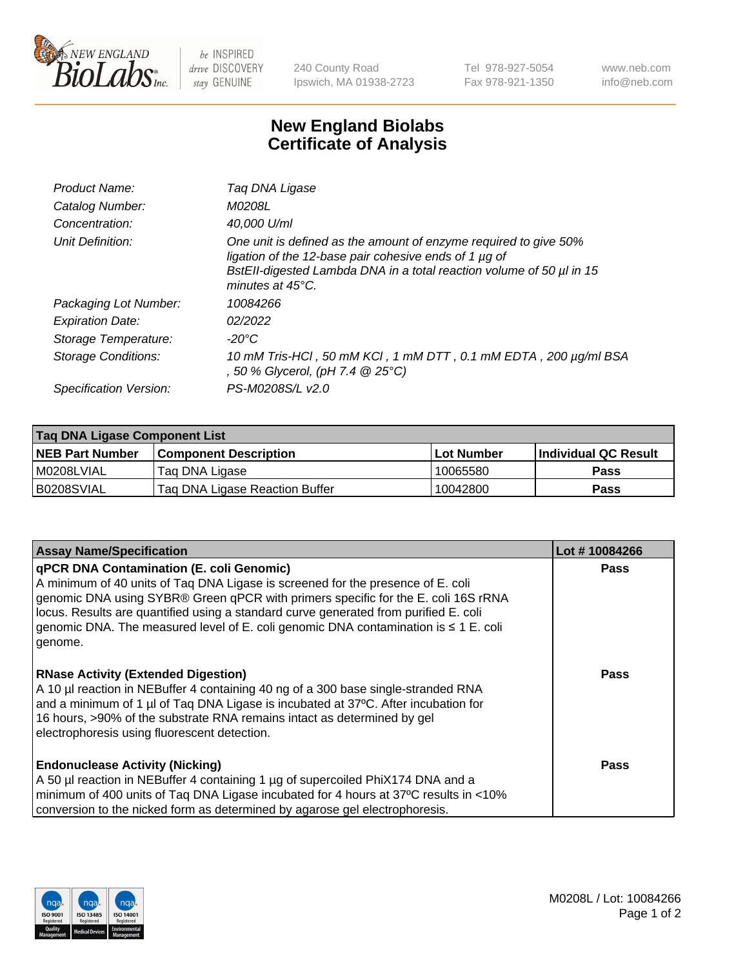

 $be$  INSPIRED drive DISCOVERY stay GENUINE

240 County Road Ipswich, MA 01938-2723 Tel 978-927-5054 Fax 978-921-1350 www.neb.com info@neb.com

## **New England Biolabs Certificate of Analysis**

| Product Name:              | Taq DNA Ligase                                                                                                                                                                                                                  |
|----------------------------|---------------------------------------------------------------------------------------------------------------------------------------------------------------------------------------------------------------------------------|
| Catalog Number:            | M0208L                                                                                                                                                                                                                          |
| Concentration:             | 40,000 U/ml                                                                                                                                                                                                                     |
| Unit Definition:           | One unit is defined as the amount of enzyme required to give 50%<br>ligation of the 12-base pair cohesive ends of 1 µg of<br>BstEll-digested Lambda DNA in a total reaction volume of 50 µl in 15<br>minutes at $45^{\circ}$ C. |
| Packaging Lot Number:      | 10084266                                                                                                                                                                                                                        |
| <b>Expiration Date:</b>    | 02/2022                                                                                                                                                                                                                         |
| Storage Temperature:       | -20°C                                                                                                                                                                                                                           |
| <b>Storage Conditions:</b> | 10 mM Tris-HCl, 50 mM KCl, 1 mM DTT, 0.1 mM EDTA, 200 µg/ml BSA<br>, 50 % Glycerol, (pH 7.4 @ 25°C)                                                                                                                             |
| Specification Version:     | PS-M0208S/L v2.0                                                                                                                                                                                                                |

| Taq DNA Ligase Component List |                                |                   |                      |  |  |
|-------------------------------|--------------------------------|-------------------|----------------------|--|--|
| <b>NEB Part Number</b>        | <b>Component Description</b>   | <b>Lot Number</b> | Individual QC Result |  |  |
| M0208LVIAL                    | Tag DNA Ligase                 | 10065580          | <b>Pass</b>          |  |  |
| B0208SVIAL                    | Taq DNA Ligase Reaction Buffer | 10042800          | Pass                 |  |  |

| <b>Assay Name/Specification</b>                                                                                                                                                                                                                                                                                                                                                                                   | Lot #10084266 |
|-------------------------------------------------------------------------------------------------------------------------------------------------------------------------------------------------------------------------------------------------------------------------------------------------------------------------------------------------------------------------------------------------------------------|---------------|
| <b>qPCR DNA Contamination (E. coli Genomic)</b><br>A minimum of 40 units of Taq DNA Ligase is screened for the presence of E. coli<br>genomic DNA using SYBR® Green qPCR with primers specific for the E. coli 16S rRNA<br>locus. Results are quantified using a standard curve generated from purified E. coli<br>genomic DNA. The measured level of E. coli genomic DNA contamination is ≤ 1 E. coli<br>genome. | <b>Pass</b>   |
| <b>RNase Activity (Extended Digestion)</b><br>A 10 µl reaction in NEBuffer 4 containing 40 ng of a 300 base single-stranded RNA<br>and a minimum of 1 µl of Taq DNA Ligase is incubated at 37°C. After incubation for<br>16 hours, >90% of the substrate RNA remains intact as determined by gel<br>electrophoresis using fluorescent detection.                                                                  | <b>Pass</b>   |
| <b>Endonuclease Activity (Nicking)</b><br>A 50 µl reaction in NEBuffer 4 containing 1 µg of supercoiled PhiX174 DNA and a<br>minimum of 400 units of Taq DNA Ligase incubated for 4 hours at 37°C results in <10%<br>conversion to the nicked form as determined by agarose gel electrophoresis.                                                                                                                  | <b>Pass</b>   |